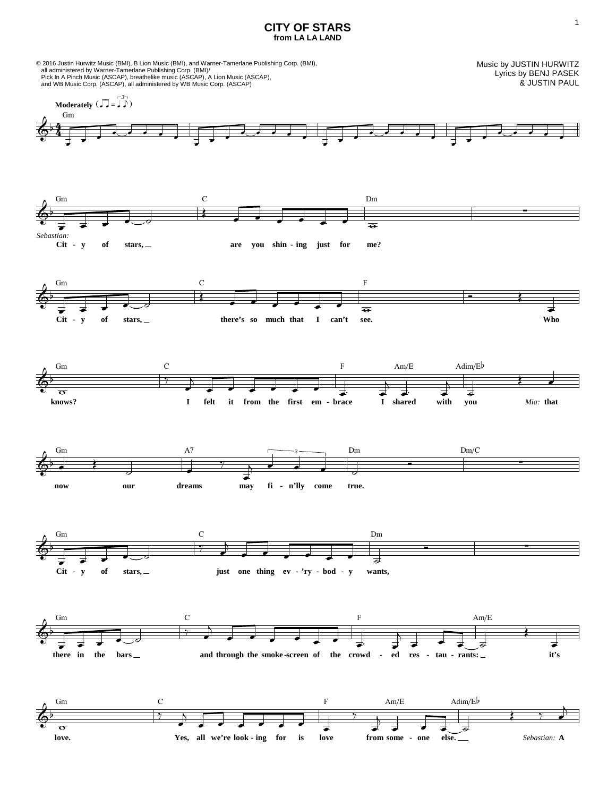## **CITY OF STARS from LA LA LAND**